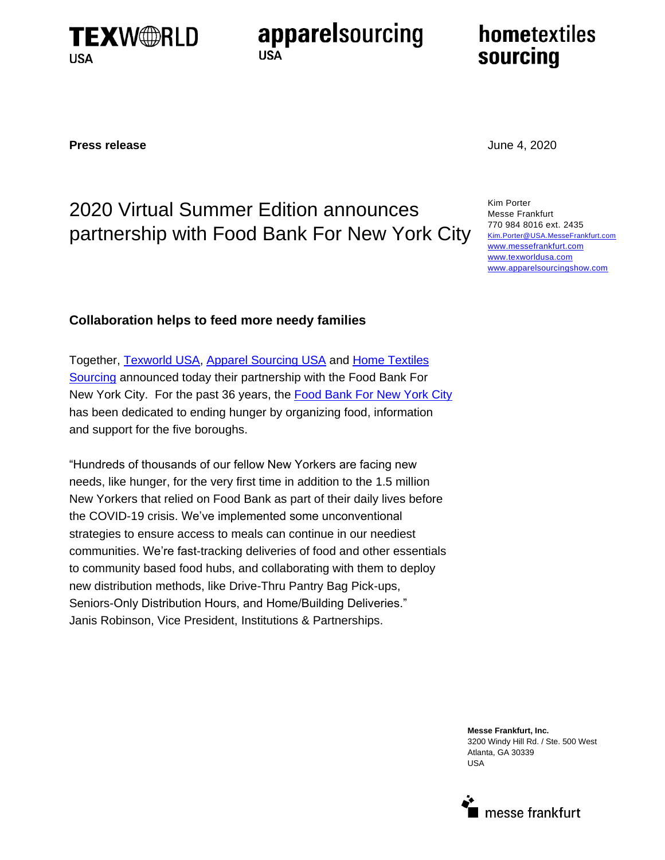

apparelsourcing **USA** 

# hometextiles sourcing

### **Press release** June 4, 2020

## 2020 Virtual Summer Edition announces partnership with Food Bank For New York City

Kim Porter Messe Frankfurt 770 984 8016 ext. 2435 Kim.Porter@USA.MesseFrankfurt.com [www.messefrankfurt.com](http://www.messefrankfurt.com/) [www.texworldusa.com](http://www.productname.messefrankfurt.com/) [www.apparelsourcingshow.com](file://Us1-s4005/mfus/Shows/Domestic/2017/TWW/MARKETING/Press/Releases/Final/www.apparelsourcingshow.com)

## **Collaboration helps to feed more needy families**

Together, [Texworld USA,](https://texworld-usa.us.messefrankfurt.com/new-york/en/VirtualEdition.html) [Apparel Sourcing USA](https://apparel-sourcing-usa.us.messefrankfurt.com/new-york/en/VirtualEdition.html) and [Home Textiles](https://home-textiles-sourcing.us.messefrankfurt.com/new-york/en/VirtualEdition.html)  [Sourcing](https://home-textiles-sourcing.us.messefrankfurt.com/new-york/en/VirtualEdition.html) announced today their partnership with the Food Bank For New York City. For the past 36 years, the [Food Bank For](https://www.foodbanknyc.org/) New York City has been dedicated to ending hunger by organizing food, information and support for the five boroughs.

"Hundreds of thousands of our fellow New Yorkers are facing new needs, like hunger, for the very first time in addition to the 1.5 million New Yorkers that relied on Food Bank as part of their daily lives before the COVID-19 crisis. We've implemented some unconventional strategies to ensure access to meals can continue in our neediest communities. We're fast-tracking deliveries of food and other essentials to community based food hubs, and collaborating with them to deploy new distribution methods, like Drive-Thru Pantry Bag Pick-ups, Seniors-Only Distribution Hours, and Home/Building Deliveries." Janis Robinson, Vice President, Institutions & Partnerships.

> **Messe Frankfurt, Inc.** 3200 Windy Hill Rd. / Ste. 500 West Atlanta, GA 30339 USA

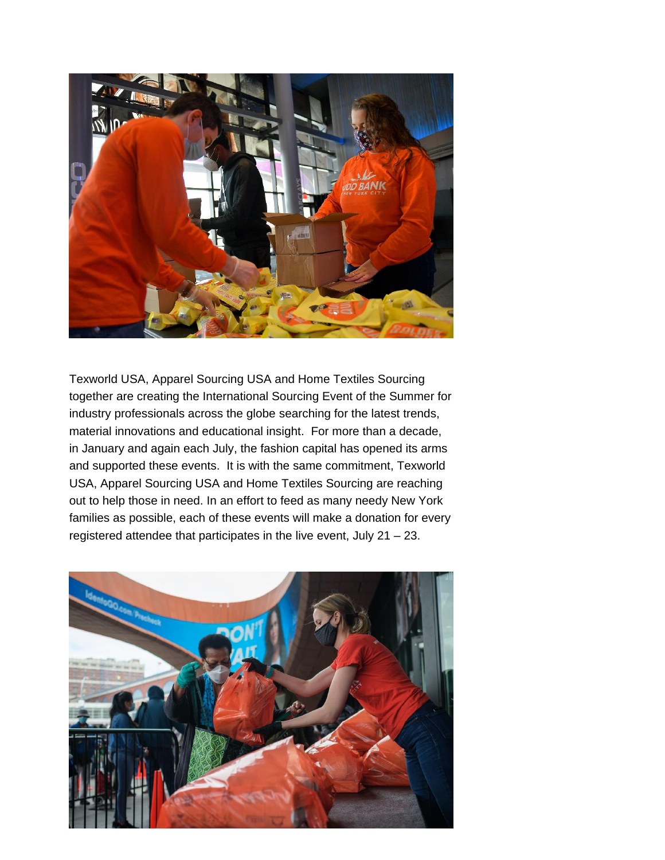

Texworld USA, Apparel Sourcing USA and Home Textiles Sourcing together are creating the International Sourcing Event of the Summer for industry professionals across the globe searching for the latest trends, material innovations and educational insight. For more than a decade, in January and again each July, the fashion capital has opened its arms and supported these events. It is with the same commitment, Texworld USA, Apparel Sourcing USA and Home Textiles Sourcing are reaching out to help those in need. In an effort to feed as many needy New York families as possible, each of these events will make a donation for every registered attendee that participates in the live event, July 21 – 23.

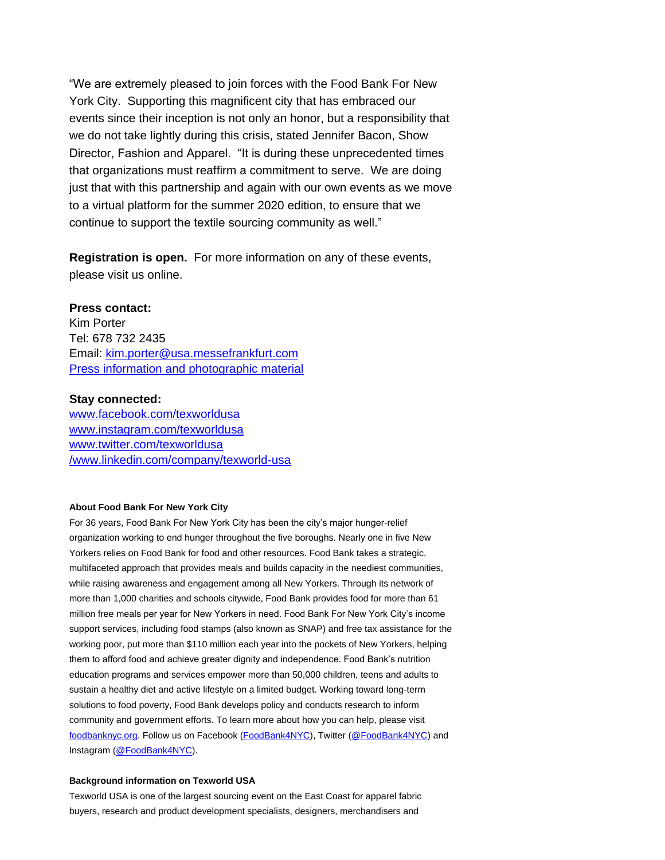"We are extremely pleased to join forces with the Food Bank For New York City. Supporting this magnificent city that has embraced our events since their inception is not only an honor, but a responsibility that we do not take lightly during this crisis, stated Jennifer Bacon, Show Director, Fashion and Apparel. "It is during these unprecedented times that organizations must reaffirm a commitment to serve. We are doing just that with this partnership and again with our own events as we move to a virtual platform for the summer 2020 edition, to ensure that we continue to support the textile sourcing community as well."

**Registration is open.** For more information on any of these events, please visit us online.

#### **Press contact:**

Kim Porter Tel: 678 732 2435 Email: [kim.porter@usa.messefrankfurt.com](mailto:kim.porter@usa.messefrankfurt.com) [Press information and photographic material](https://texworld-usa.us.messefrankfurt.com/new-york/en/press/fotos.html) 

#### **Stay connected:**

[www.facebook.com/texworldusa](http://www.facebook.com/texworldusa) [www.instagram.com/texworldusa](http://www.instagram.com/texworldusa) [www.twitter.com/texworldusa](http://www.twitter.com/texworldusa) [/www.linkedin.com/company/texworld-usa](https://www.linkedin.com/company/texworld-usa)

#### **About Food Bank For New York City**

For 36 years, Food Bank For New York City has been the city's major hunger-relief organization working to end hunger throughout the five boroughs. Nearly one in five New Yorkers relies on Food Bank for food and other resources. Food Bank takes a strategic, multifaceted approach that provides meals and builds capacity in the neediest communities, while raising awareness and engagement among all New Yorkers. Through its network of more than 1,000 charities and schools citywide, Food Bank provides food for more than 61 million free meals per year for New Yorkers in need. Food Bank For New York City's income support services, including food stamps (also known as SNAP) and free tax assistance for the working poor, put more than \$110 million each year into the pockets of New Yorkers, helping them to afford food and achieve greater dignity and independence. Food Bank's nutrition education programs and services empower more than 50,000 children, teens and adults to sustain a healthy diet and active lifestyle on a limited budget. Working toward long-term solutions to food poverty, Food Bank develops policy and conducts research to inform community and government efforts. To learn more about how you can help, please visit [foodbanknyc.org.](http://foodbanknyc.org/?_ga=2.41665122.134975611.1591007098-587563970.1589895616&_gac=1.250744498.1589895616.EAIaIQobChMIzMua0obA6QIVUfDACh1ITw7GEAAYASAAEgLSqfD_BwE) Follow us on Facebook [\(FoodBank4NYC\)](https://www.facebook.com/foodbanknyc), Twitter [\(@FoodBank4NYC\)](https://twitter.com/FoodBank4NYC) and Instagram [\(@FoodBank4NYC\)](http://instagram.com/foodbank4nyc).

#### **Background information on Texworld USA**

Texworld USA is one of the largest sourcing event on the East Coast for apparel fabric buyers, research and product development specialists, designers, merchandisers and